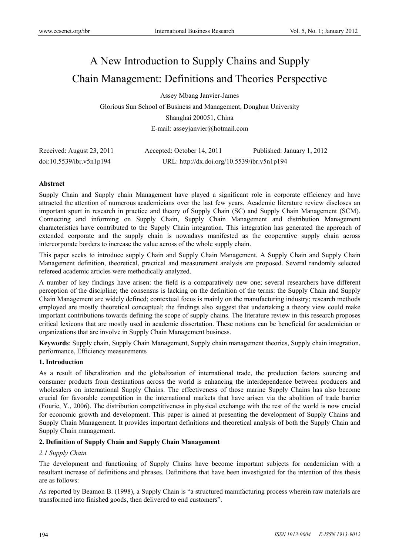# A New Introduction to Supply Chains and Supply Chain Management: Definitions and Theories Perspective

Assey Mbang Janvier-James

Glorious Sun School of Business and Management, Donghua University Shanghai 200051, China E-mail: asseyjanvier@hotmail.com

| Received: August 23, 2011 | Accepted: October 14, 2011                  | Published: January 1, 2012 |
|---------------------------|---------------------------------------------|----------------------------|
| doi:10.5539/ibr.v5n1p194  | URL: http://dx.doi.org/10.5539/ibr.v5n1p194 |                            |

# **Abstract**

Supply Chain and Supply chain Management have played a significant role in corporate efficiency and have attracted the attention of numerous academicians over the last few years. Academic literature review discloses an important spurt in research in practice and theory of Supply Chain (SC) and Supply Chain Management (SCM). Connecting and informing on Supply Chain, Supply Chain Management and distribution Management characteristics have contributed to the Supply Chain integration. This integration has generated the approach of extended corporate and the supply chain is nowadays manifested as the cooperative supply chain across intercorporate borders to increase the value across of the whole supply chain.

This paper seeks to introduce supply Chain and Supply Chain Management. A Supply Chain and Supply Chain Management definition, theoretical, practical and measurement analysis are proposed. Several randomly selected refereed academic articles were methodically analyzed.

A number of key findings have arisen: the field is a comparatively new one; several researchers have different perception of the discipline; the consensus is lacking on the definition of the terms: the Supply Chain and Supply Chain Management are widely defined; contextual focus is mainly on the manufacturing industry; research methods employed are mostly theoretical conceptual; the findings also suggest that undertaking a theory view could make important contributions towards defining the scope of supply chains. The literature review in this research proposes critical lexicons that are mostly used in academic dissertation. These notions can be beneficial for academician or organizations that are involve in Supply Chain Management business.

**Keywords**: Supply chain, Supply Chain Management, Supply chain management theories, Supply chain integration, performance, Efficiency measurements

# **1. Introduction**

As a result of liberalization and the globalization of international trade, the production factors sourcing and consumer products from destinations across the world is enhancing the interdependence between producers and wholesalers on international Supply Chains. The effectiveness of those marine Supply Chains has also become crucial for favorable competition in the international markets that have arisen via the abolition of trade barrier (Fourie, Y., 2006). The distribution competitiveness in physical exchange with the rest of the world is now crucial for economic growth and development. This paper is aimed at presenting the development of Supply Chains and Supply Chain Management. It provides important definitions and theoretical analysis of both the Supply Chain and Supply Chain management.

# **2. Definition of Supply Chain and Supply Chain Management**

# *2.1 Supply Chain*

The development and functioning of Supply Chains have become important subjects for academician with a resultant increase of definitions and phrases. Definitions that have been investigated for the intention of this thesis are as follows:

As reported by Beamon B. (1998), a Supply Chain is "a structured manufacturing process wherein raw materials are transformed into finished goods, then delivered to end customers".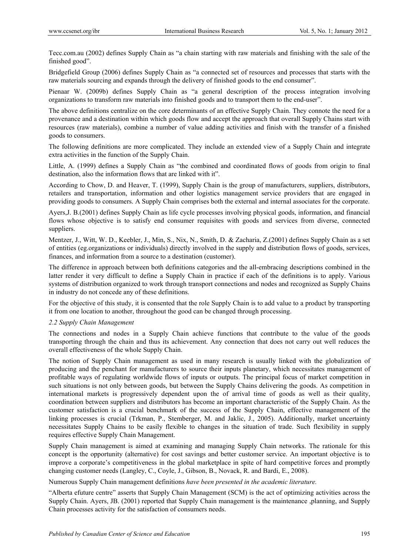Tecc.com.au (2002) defines Supply Chain as "a chain starting with raw materials and finishing with the sale of the finished good".

Bridgefield Group (2006) defines Supply Chain as "a connected set of resources and processes that starts with the raw materials sourcing and expands through the delivery of finished goods to the end consumer".

Pienaar W. (2009b) defines Supply Chain as "a general description of the process integration involving organizations to transform raw materials into finished goods and to transport them to the end-user".

The above definitions centralize on the core determinants of an effective Supply Chain. They connote the need for a provenance and a destination within which goods flow and accept the approach that overall Supply Chains start with resources (raw materials), combine a number of value adding activities and finish with the transfer of a finished goods to consumers.

The following definitions are more complicated. They include an extended view of a Supply Chain and integrate extra activities in the function of the Supply Chain.

Little, A. (1999) defines a Supply Chain as "the combined and coordinated flows of goods from origin to final destination, also the information flows that are linked with it".

According to Chow, D. and Heaver, T. (1999), Supply Chain is the group of manufacturers, suppliers, distributors, retailers and transportation, information and other logistics management service providers that are engaged in providing goods to consumers. A Supply Chain comprises both the external and internal associates for the corporate.

Ayers,J. B.(2001) defines Supply Chain as life cycle processes involving physical goods, information, and financial flows whose objective is to satisfy end consumer requisites with goods and services from diverse, connected suppliers.

Mentzer, J., Witt, W. D., Keebler, J., Min, S., Nix, N., Smith, D. & Zacharia, Z.(2001) defines Supply Chain as a set of entities (eg.organizations or individuals) directly involved in the supply and distribution flows of goods, services, finances, and information from a source to a destination (customer).

The difference in approach between both definitions categories and the all-embracing descriptions combined in the latter render it very difficult to define a Supply Chain in practice if each of the definitions is to apply. Various systems of distribution organized to work through transport connections and nodes and recognized as Supply Chains in industry do not concede any of these definitions.

For the objective of this study, it is consented that the role Supply Chain is to add value to a product by transporting it from one location to another, throughout the good can be changed through processing.

# *2.2 Supply Chain Management*

The connections and nodes in a Supply Chain achieve functions that contribute to the value of the goods transporting through the chain and thus its achievement. Any connection that does not carry out well reduces the overall effectiveness of the whole Supply Chain.

The notion of Supply Chain management as used in many research is usually linked with the globalization of producing and the penchant for manufacturers to source their inputs planetary, which necessitates management of profitable ways of regulating worldwide flows of inputs or outputs. The principal focus of market competition in such situations is not only between goods, but between the Supply Chains delivering the goods. As competition in international markets is progressively dependent upon the of arrival time of goods as well as their quality, coordination between suppliers and distributors has become an important characteristic of the Supply Chain. As the customer satisfaction is a crucial benchmark of the success of the Supply Chain, effective management of the linking processes is crucial (Trkman, P., Stemberger, M. and Jaklic, J., 2005). Additionally, market uncertainty necessitates Supply Chains to be easily flexible to changes in the situation of trade. Such flexibility in supply requires effective Supply Chain Management.

Supply Chain management is aimed at examining and managing Supply Chain networks. The rationale for this concept is the opportunity (alternative) for cost savings and better customer service. An important objective is to improve a corporate's competitiveness in the global marketplace in spite of hard competitive forces and promptly changing customer needs (Langley, C., Coyle, J., Gibson, B., Novack, R. and Bardi, E., 2008).

Numerous Supply Chain management definitions *have been presented in the academic literature.* 

"Alberta efuture centre" asserts that Supply Chain Management (SCM) is the act of optimizing activities across the Supply Chain. Ayers, JB. (2001) reported that Supply Chain management is the maintenance ,planning, and Supply Chain processes activity for the satisfaction of consumers needs.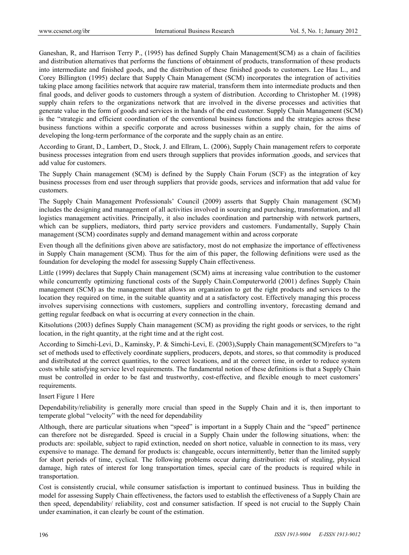Ganeshan, R, and Harrison Terry P., (1995) has defined Supply Chain Management(SCM) as a chain of facilities and distribution alternatives that performs the functions of obtainment of products, transformation of these products into intermediate and finished goods, and the distribution of these finished goods to customers. Lee Hau L., and Corey Billington (1995) declare that Supply Chain Management (SCM) incorporates the integration of activities taking place among facilities network that acquire raw material, transform them into intermediate products and then final goods, and deliver goods to customers through a system of distribution. According to Christopher M. (1998) supply chain refers to the organizations network that are involved in the diverse processes and activities that generate value in the form of goods and services in the hands of the end customer. Supply Chain Management (SCM) is the "strategic and efficient coordination of the conventional business functions and the strategies across these business functions within a specific corporate and across businesses within a supply chain, for the aims of developing the long-term performance of the corporate and the supply chain as an entire.

According to Grant, D., Lambert, D., Stock, J. and Ellram, L. (2006), Supply Chain management refers to corporate business processes integration from end users through suppliers that provides information ,goods, and services that add value for customers.

The Supply Chain management (SCM) is defined by the Supply Chain Forum (SCF) as the integration of key business processes from end user through suppliers that provide goods, services and information that add value for customers.

The Supply Chain Management Professionals' Council (2009) asserts that Supply Chain management (SCM) includes the designing and management of all activities involved in sourcing and purchasing, transformation, and all logistics management activities. Principally, it also includes coordination and partnership with network partners, which can be suppliers, mediators, third party service providers and customers. Fundamentally, Supply Chain management (SCM) coordinates supply and demand management within and across corporate

Even though all the definitions given above are satisfactory, most do not emphasize the importance of effectiveness in Supply Chain management (SCM). Thus for the aim of this paper, the following definitions were used as the foundation for developing the model for assessing Supply Chain effectiveness.

Little (1999) declares that Supply Chain management (SCM) aims at increasing value contribution to the customer while concurrently optimizing functional costs of the Supply Chain.Computerworld (2001) defines Supply Chain management (SCM) as the management that allows an organization to get the right products and services to the location they required on time, in the suitable quantity and at a satisfactory cost. Effectively managing this process involves supervising connections with customers, suppliers and controlling inventory, forecasting demand and getting regular feedback on what is occurring at every connection in the chain.

Kitsolutions (2003) defines Supply Chain management (SCM) as providing the right goods or services, to the right location, in the right quantity, at the right time and at the right cost.

According to Simchi-Levi, D., Kaminsky, P. & Simchi-Levi, E. (2003),Supply Chain management(SCM)refers to "a set of methods used to effectively coordinate suppliers, producers, depots, and stores, so that commodity is produced and distributed at the correct quantities, to the correct locations, and at the correct time, in order to reduce system costs while satisfying service level requirements. The fundamental notion of these definitions is that a Supply Chain must be controlled in order to be fast and trustworthy, cost-effective, and flexible enough to meet customers' requirements.

#### Insert Figure 1 Here

Dependability/reliability is generally more crucial than speed in the Supply Chain and it is, then important to temperate global "velocity" with the need for dependability

Although, there are particular situations when "speed" is important in a Supply Chain and the "speed" pertinence can therefore not be disregarded. Speed is crucial in a Supply Chain under the following situations, when: the products are: spoilable, subject to rapid extinction, needed on short notice, valuable in connection to its mass, very expensive to manage. The demand for products is: changeable, occurs intermittently, better than the limited supply for short periods of time, cyclical. The following problems occur during distribution: risk of stealing, physical damage, high rates of interest for long transportation times, special care of the products is required while in transportation.

Cost is consistently crucial, while consumer satisfaction is important to continued business. Thus in building the model for assessing Supply Chain effectiveness, the factors used to establish the effectiveness of a Supply Chain are then speed, dependability/ reliability, cost and consumer satisfaction. If speed is not crucial to the Supply Chain under examination, it can clearly be count of the estimation.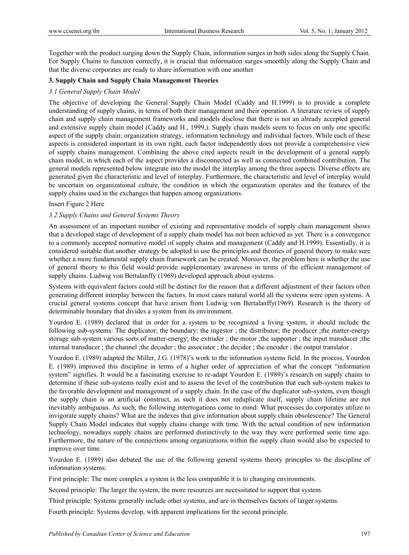Together with the product surging down the Supply Chain, information surges in both sides along the Supply Chain. For Supply Chains to function correctly, it is crucial that information surges smoothly along the Supply Chain and that the diverse corporates are ready to share information with one another

# **3. Supply Chain and Supply Chain Management Theories**

# *3.1 General Supply Chain Model*

The objective of developing the General Supply Chain Model (Caddy and H.1999) is to provide a complete understanding of supply chains, in terms of both their management and their operation. A literature review of supply chain and supply chain management frameworks and models disclose that there is not an already accepted general and extensive supply chain model (Caddy and H., 1999,). Supply chain models seem to focus on only one specific aspect of the supply chain: organization strategy, information technology and individual factors. While each of these aspects is considered important in its own right, each factor independently does not provide a comprehensive view of supply chains management. Combining the above cited aspects result in the development of a general supply chain model, in which each of the aspect provides a disconnected as well as connected combined contribution. The general models represented below integrate into the model the interplay among the three aspects. Diverse effects are generated given the characteristic and level of interplay. Furthermore, the characteristic and level of interplay would be uncertain on organizational culture, the condition in which the organization operates and the features of the supply chains used in the exchanges that happen among organizations.

# Insert Figure 2 Here

# *3.2 Supply Chains and General Systems Theory*

An assessment of an important number of existing and representative models of supply chain management shows that a developed stage of development of a supply chain model has not been achieved as yet. There is a convergence to a commonly accepted normative model of supply chains and management (Caddy and H.1999). Essentially, it is considered suitable that another strategy be adopted to use the principles and theories of general theory to make sure whether a more fundamental supply chain framework can be created. Moreover, the problem here is whether the use of general theory to this field would provide supplementary awareness in terms of the efficient management of supply chains. Ludwig von Bertalanffy (1969) developed approach about systems.

Systems with equivalent factors could still be distinct for the reason that a different adjustment of their factors often generating different interplay between the factors. In most cases natural world all the systems were open systems. A crucial general systems concept that have arisen from Ludwig von Bertalanffy(1969). Research is the theory of determinable boundary that divides a system from its environment.

Yourdon E. (1989) declared that in order for a system to be recognized a living system, it should include the following sub-systems: The duplicator; the boundary; the ingestor ; the distributor; the producer ;the matter-energy storage sub-system various sorts of matter-energy; the extruder ; the motor ;the supporter ; the input transducer ;the internal transducer ; the channel ;the decoder ; the associator ; the decider ; the encoder ; the output translator .

Yourdon E. (1989) adapted the Miller, J.G. (1978)'s work to the information systems field. In the process, Yourdon E. (1989) improved this discipline in terms of a higher order of appreciation of what the concept "information system" signifies. It would be a fascinating exercise to re-adapt Yourdon E. (1989)'s research on supply chains to determine if these sub-systems really exist and to assess the level of the contribution that each sub-system makes to the favorable development and management of a supply chain. In the case of the duplicator sub-system, even though the supply chain is an artificial construct, as such it does not reduplicate itself, supply chain lifetime are not inevitably ambiguous. As such, the following interrogations come to mind: What processes do corporates utilize to invigorate supply chains? What are the indexes that give information about supply chain obsolescence? The General Supply Chain Model indicates that supply chains change with time. With the actual condition of new information technology, nowadays supply chains are performed distinctively to the way they were performed some time ago. Furthermore, the nature of the connections among organizations within the supply chain would also be expected to improve over time.

Yourdon E. (1989) also debated the use of the following general systems theory principles to the discipline of information systems:

First principle: The more complex a system is the less compatible it is to changing environments.

Second principle: The larger the system, the more resources are necessitated to support that system.

Third principle: Systems generally include other systems, and are in themselves factors of larger systems.

Fourth principle: Systems develop, with apparent implications for the second principle.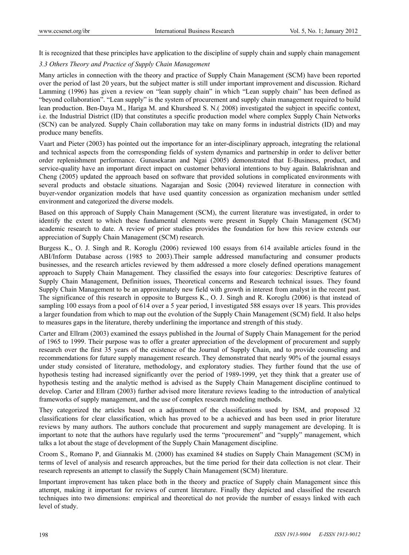It is recognized that these principles have application to the discipline of supply chain and supply chain management

# *3.3 Others Theory and Practice of Supply Chain Management*

Many articles in connection with the theory and practice of Supply Chain Management (SCM) have been reported over the period of last 20 years, but the subject matter is still under important improvement and discussion. Richard Lamming (1996) has given a review on "lean supply chain" in which "Lean supply chain" has been defined as "beyond collaboration". "Lean supply" is the system of procurement and supply chain management required to build lean production. Ben-Daya M., Hariga M. and Khursheed S. N.( 2008) investigated the subject in specific context, i.e. the Industrial District (ID) that constitutes a specific production model where complex Supply Chain Networks (SCN) can be analyzed. Supply Chain collaboration may take on many forms in industrial districts (ID) and may produce many benefits.

Vaart and Pieter (2003) has pointed out the importance for an inter-disciplinary approach, integrating the relational and technical aspects from the corresponding fields of system dynamics and partnership in order to deliver better order replenishment performance. Gunasekaran and Ngai (2005) demonstrated that E-Business, product, and service-quality have an important direct impact on customer behavioral intentions to buy again. Balakrishnan and Cheng (2005) updated the approach based on software that provided solutions in complicated environments with several products and obstacle situations. Nagarajan and Sosic (2004) reviewed literature in connection with buyer-vendor organization models that have used quantity concession as organization mechanism under settled environment and categorized the diverse models.

Based on this approach of Supply Chain Management (SCM), the current literature was investigated, in order to identify the extent to which these fundamental elements were present in Supply Chain Management (SCM) academic research to date. A review of prior studies provides the foundation for how this review extends our appreciation of Supply Chain Management (SCM) research.

Burgess K., O. J. Singh and R. Koroglu (2006) reviewed 100 essays from 614 available articles found in the ABI/Inform Database across (1985 to 2003).Their sample addressed manufacturing and consumer products businesses, and the research articles reviewed by them addressed a more closely defined operations management approach to Supply Chain Management. They classified the essays into four categories: Descriptive features of Supply Chain Management, Definition issues, Theoretical concerns and Research technical issues. They found Supply Chain Management to be an approximately new field with growth in interest from analyst in the recent past. The significance of this research in opposite to Burgess K., O. J. Singh and R. Koroglu (2006) is that instead of sampling 100 essays from a pool of 614 over a 5 year period, I investigated 588 essays over 18 years. This provides a larger foundation from which to map out the evolution of the Supply Chain Management (SCM) field. It also helps to measures gaps in the literature, thereby underlining the importance and strength of this study.

Carter and Ellram (2003) examined the essays published in the Journal of Supply Chain Management for the period of 1965 to 1999. Their purpose was to offer a greater appreciation of the development of procurement and supply research over the first 35 years of the existence of the Journal of Supply Chain, and to provide counseling and recommendations for future supply management research. They demonstrated that nearly 90% of the journal essays under study consisted of literature, methodology, and exploratory studies. They further found that the use of hypothesis testing had increased significantly over the period of 1989-1999, yet they think that a greater use of hypothesis testing and the analytic method is advised as the Supply Chain Management discipline continued to develop. Carter and Ellram (2003) further advised more literature reviews leading to the introduction of analytical frameworks of supply management, and the use of complex research modeling methods.

They categorized the articles based on a adjustment of the classifications used by ISM, and proposed 32 classifications for clear classification, which has proved to be a achieved and has been used in prior literature reviews by many authors. The authors conclude that procurement and supply management are developing. It is important to note that the authors have regularly used the terms "procurement" and "supply" management, which talks a lot about the stage of development of the Supply Chain Management discipline.

Croom S., Romano P, and Giannakis M. (2000) has examined 84 studies on Supply Chain Management (SCM) in terms of level of analysis and research approaches, but the time period for their data collection is not clear. Their research represents an attempt to classify the Supply Chain Management (SCM) literature.

Important improvement has taken place both in the theory and practice of Supply chain Management since this attempt, making it important for reviews of current literature. Finally they depicted and classified the research techniques into two dimensions: empirical and theoretical do not provide the number of essays linked with each level of study.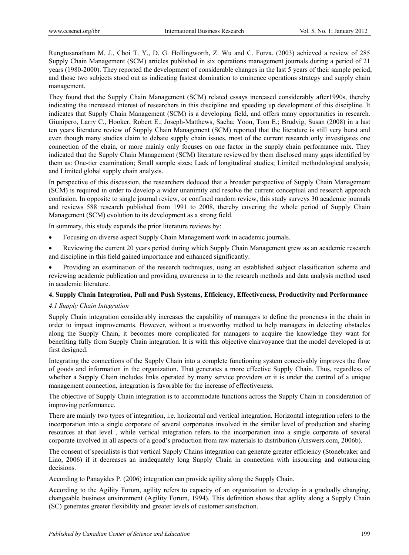Rungtusanatham M. J., Choi T. Y., D. G. Hollingworth, Z. Wu and C. Forza. (2003) achieved a review of 285 Supply Chain Management (SCM) articles published in six operations management journals during a period of 21 years (1980-2000). They reported the development of considerable changes in the last 5 years of their sample period, and those two subjects stood out as indicating fastest domination to eminence operations strategy and supply chain management.

They found that the Supply Chain Management (SCM) related essays increased considerably after1990s, thereby indicating the increased interest of researchers in this discipline and speeding up development of this discipline. It indicates that Supply Chain Management (SCM) is a developing field, and offers many opportunities in research. Giunipero, Larry C., Hooker, Robert E.; Joseph-Matthews, Sacha; Yoon, Tom E.; Brudvig, Susan (2008) in a last ten years literature review of Supply Chain Management (SCM) reported that the literature is still very burst and even though many studies claim to debate supply chain issues, most of the current research only investigates one connection of the chain, or more mainly only focuses on one factor in the supply chain performance mix. They indicated that the Supply Chain Management (SCM) literature reviewed by them disclosed many gaps identified by them as: One-tier examination; Small sample sizes; Lack of longitudinal studies; Limited methodological analysis; and Limited global supply chain analysis.

In perspective of this discussion, the researchers deduced that a broader perspective of Supply Chain Management (SCM) is required in order to develop a wider unanimity and resolve the current conceptual and research approach confusion. In opposite to single journal review, or confined random review, this study surveys 30 academic journals and reviews 588 research published from 1991 to 2008, thereby covering the whole period of Supply Chain Management (SCM) evolution to its development as a strong field.

In summary, this study expands the prior literature reviews by:

- Focusing on diverse aspect Supply Chain Management work in academic journals.
- Reviewing the current 20 years period during which Supply Chain Management grew as an academic research and discipline in this field gained importance and enhanced significantly.
- Providing an examination of the research techniques, using an established subject classification scheme and reviewing academic publication and providing awareness in to the research methods and data analysis method used in academic literature.

# **4. Supply Chain Integration, Pull and Push Systems, Efficiency, Effectiveness, Productivity and Performance**

#### *4.1 Supply Chain Integration*

Supply Chain integration considerably increases the capability of managers to define the proneness in the chain in order to impact improvements. However, without a trustworthy method to help managers in detecting obstacles along the Supply Chain, it becomes more complicated for managers to acquire the knowledge they want for benefiting fully from Supply Chain integration. It is with this objective clairvoyance that the model developed is at first designed.

Integrating the connections of the Supply Chain into a complete functioning system conceivably improves the flow of goods and information in the organization. That generates a more effective Supply Chain. Thus, regardless of whether a Supply Chain includes links operated by many service providers or it is under the control of a unique management connection, integration is favorable for the increase of effectiveness.

The objective of Supply Chain integration is to accommodate functions across the Supply Chain in consideration of improving performance.

There are mainly two types of integration, i.e. horizontal and vertical integration. Horizontal integration refers to the incorporation into a single corporate of several corportates involved in the similar level of production and sharing resources at that level , while vertical integration refers to the incorporation into a single corporate of several corporate involved in all aspects of a good's production from raw materials to distribution (Answers.com, 2006b).

The consent of specialists is that vertical Supply Chains integration can generate greater efficiency (Stonebraker and Liao, 2006) if it decreases an inadequately long Supply Chain in connection with insourcing and outsourcing decisions.

According to Panayides P. (2006) integration can provide agility along the Supply Chain.

According to the Agility Forum, agility refers to capacity of an organization to develop in a gradually changing, changeable business environment (Agility Forum, 1994). This definition shows that agility along a Supply Chain (SC) generates greater flexibility and greater levels of customer satisfaction.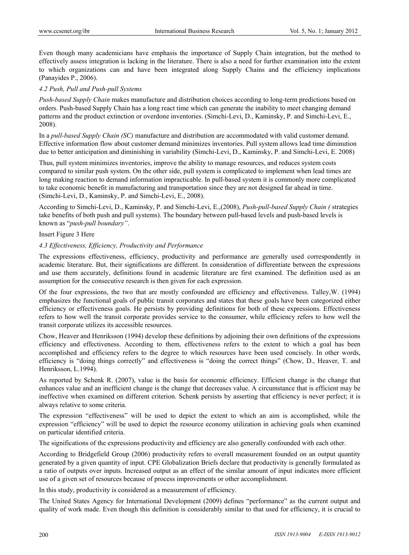Even though many academicians have emphasis the importance of Supply Chain integration, but the method to effectively assess integration is lacking in the literature. There is also a need for further examination into the extent to which organizations can and have been integrated along Supply Chains and the efficiency implications (Panayides P., 2006).

# *4.2 Push, Pull and Push-pull Systems*

*Push-based Supply Chain* makes manufacture and distribution choices according to long-term predictions based on orders. Push-based Supply Chain has a long react time which can generate the inability to meet changing demand patterns and the product extinction or overdone inventories. (Simchi-Levi, D., Kaminsky, P. and Simchi-Levi, E., 2008).

In a *pull-based Supply Chain (SC)* manufacture and distribution are accommodated with valid customer demand. Effective information flow about customer demand minimizes inventories. Pull system allows lead time diminution due to better anticipation and diminishing in variability (Simchi-Levi, D., Kaminsky, P. and Simchi-Levi, E. 2008)

Thus, pull system minimizes inventories, improve the ability to manage resources, and reduces system costs compared to similar push system. On the other side, pull system is complicated to implement when lead times are long making reaction to demand information impracticable. In pull-based system it is commonly more complicated to take economic benefit in manufacturing and transportation since they are not designed far ahead in time. (Simchi-Levi, D., Kaminsky, P. and Simchi-Levi, E., 2008).

According to Simchi-Levi, D., Kaminsky, P. and Simchi-Levi, E.,(2008), *Push-pull-based Supply Chain (* strategies take benefits of both push and pull systems). The boundary between pull-based levels and push-based levels is known as "*push-pull boundary"*.

# Insert Figure 3 Here

# *4.3 Effectiveness, Efficiency, Productivity and Performance*

The expressions effectiveness, efficiency, productivity and performance are generally used correspondently in academic literature. But, their significations are different. In consideration of differentiate between the expressions and use them accurately, definitions found in academic literature are first examined. The definition used as an assumption for the consecutive research is then given for each expression.

Of the four expressions, the two that are mostly confounded are efficiency and effectiveness. Talley,W. (1994) emphasizes the functional goals of public transit corporates and states that these goals have been categorized either efficiency or effectiveness goals. He persists by providing definitions for both of these expressions. Effectiveness refers to how well the transit corporate provides service to the consumer, while efficiency refers to how well the transit corporate utilizes its accessible resources.

Chow, Heaver and Henriksson (1994) develop these definitions by adjoining their own definitions of the expressions efficiency and effectiveness. According to them, effectiveness refers to the extent to which a goal has been accomplished and efficiency refers to the degree to which resources have been used concisely. In other words, efficiency is "doing things correctly" and effectiveness is "doing the correct things" (Chow, D., Heaver, T. and Henriksson, L.1994).

As reported by Schenk R. (2007), value is the basis for economic efficiency. Efficient change is the change that enhances value and an inefficient change is the change that decreases value. A circumstance that is efficient may be ineffective when examined on different criterion. Schenk persists by asserting that efficiency is never perfect; it is always relative to some criteria.

The expression "effectiveness" will be used to depict the extent to which an aim is accomplished, while the expression "efficiency" will be used to depict the resource economy utilization in achieving goals when examined on particular identified criteria.

The significations of the expressions productivity and efficiency are also generally confounded with each other.

According to Bridgefield Group (2006) productivity refers to overall measurement founded on an output quantity generated by a given quantity of input. CPE Globalization Briefs declare that productivity is generally formulated as a ratio of outputs over inputs. Increased output as an effect of the similar amount of input indicates more efficient use of a given set of resources because of process improvements or other accomplishment.

In this study, productivity is considered as a measurement of efficiency.

The United States Agency for International Development (2009) defines "performance" as the current output and quality of work made. Even though this definition is considerably similar to that used for efficiency, it is crucial to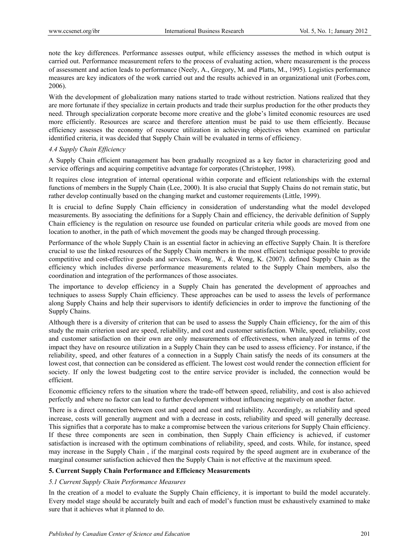note the key differences. Performance assesses output, while efficiency assesses the method in which output is carried out. Performance measurement refers to the process of evaluating action, where measurement is the process of assessment and action leads to performance (Neely, A., Gregory, M. and Platts, M., 1995). Logistics performance measures are key indicators of the work carried out and the results achieved in an organizational unit (Forbes.com, 2006).

With the development of globalization many nations started to trade without restriction. Nations realized that they are more fortunate if they specialize in certain products and trade their surplus production for the other products they need. Through specialization corporate become more creative and the globe's limited economic resources are used more efficiently. Resources are scarce and therefore attention must be paid to use them efficiently. Because efficiency assesses the economy of resource utilization in achieving objectives when examined on particular identified criteria, it was decided that Supply Chain will be evaluated in terms of efficiency.

# *4.4 Supply Chain Efficiency*

A Supply Chain efficient management has been gradually recognized as a key factor in characterizing good and service offerings and acquiring competitive advantage for corporates (Christopher, 1998).

It requires close integration of internal operational within corporate and efficient relationships with the external functions of members in the Supply Chain (Lee, 2000). It is also crucial that Supply Chains do not remain static, but rather develop continually based on the changing market and customer requirements (Little, 1999).

It is crucial to define Supply Chain efficiency in consideration of understanding what the model developed measurements. By associating the definitions for a Supply Chain and efficiency, the derivable definition of Supply Chain efficiency is the regulation on resource use founded on particular criteria while goods are moved from one location to another, in the path of which movement the goods may be changed through processing.

Performance of the whole Supply Chain is an essential factor in achieving an effective Supply Chain. It is therefore crucial to use the linked resources of the Supply Chain members in the most efficient technique possible to provide competitive and cost-effective goods and services. Wong, W., & Wong, K. (2007). defined Supply Chain as the efficiency which includes diverse performance measurements related to the Supply Chain members, also the coordination and integration of the performances of those associates.

The importance to develop efficiency in a Supply Chain has generated the development of approaches and techniques to assess Supply Chain efficiency. These approaches can be used to assess the levels of performance along Supply Chains and help their supervisors to identify deficiencies in order to improve the functioning of the Supply Chains.

Although there is a diversity of criterion that can be used to assess the Supply Chain efficiency, for the aim of this study the main criterion used are speed, reliability, and cost and customer satisfaction. While, speed, reliability, cost and customer satisfaction on their own are only measurements of effectiveness, when analyzed in terms of the impact they have on resource utilization in a Supply Chain they can be used to assess efficiency. For instance, if the reliability, speed, and other features of a connection in a Supply Chain satisfy the needs of its consumers at the lowest cost, that connection can be considered as efficient. The lowest cost would render the connection efficient for society. If only the lowest budgeting cost to the entire service provider is included, the connection would be efficient.

Economic efficiency refers to the situation where the trade-off between speed, reliability, and cost is also achieved perfectly and where no factor can lead to further development without influencing negatively on another factor.

There is a direct connection between cost and speed and cost and reliability. Accordingly, as reliability and speed increase, costs will generally augment and with a decrease in costs, reliability and speed will generally decrease. This signifies that a corporate has to make a compromise between the various criterions for Supply Chain efficiency. If these three components are seen in combination, then Supply Chain efficiency is achieved, if customer satisfaction is increased with the optimum combinations of reliability, speed, and costs. While, for instance, speed may increase in the Supply Chain , if the marginal costs required by the speed augment are in exuberance of the marginal consumer satisfaction achieved then the Supply Chain is not effective at the maximum speed.

# **5. Current Supply Chain Performance and Efficiency Measurements**

# *5.1 Current Supply Chain Performance Measures*

In the creation of a model to evaluate the Supply Chain efficiency, it is important to build the model accurately. Every model stage should be accurately built and each of model's function must be exhaustively examined to make sure that it achieves what it planned to do.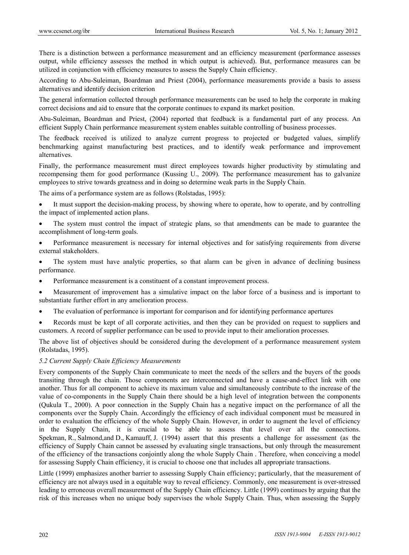There is a distinction between a performance measurement and an efficiency measurement (performance assesses output, while efficiency assesses the method in which output is achieved). But, performance measures can be utilized in conjunction with efficiency measures to assess the Supply Chain efficiency.

According to Abu-Suleiman, Boardman and Priest (2004), performance measurements provide a basis to assess alternatives and identify decision criterion

The general information collected through performance measurements can be used to help the corporate in making correct decisions and aid to ensure that the corporate continues to expand its market position.

Abu-Suleiman, Boardman and Priest, (2004) reported that feedback is a fundamental part of any process. An efficient Supply Chain performance measurement system enables suitable controlling of business processes.

The feedback received is utilized to analyze current progress to projected or budgeted values, simplify benchmarking against manufacturing best practices, and to identify weak performance and improvement alternatives.

Finally, the performance measurement must direct employees towards higher productivity by stimulating and recompensing them for good performance (Kussing U., 2009). The performance measurement has to galvanize employees to strive towards greatness and in doing so determine weak parts in the Supply Chain.

The aims of a performance system are as follows (Rolstadas, 1995):

- It must support the decision-making process, by showing where to operate, how to operate, and by controlling the impact of implemented action plans.
- The system must control the impact of strategic plans, so that amendments can be made to guarantee the accomplishment of long-term goals.
- Performance measurement is necessary for internal objectives and for satisfying requirements from diverse external stakeholders.
- The system must have analytic properties, so that alarm can be given in advance of declining business performance.
- Performance measurement is a constituent of a constant improvement process.
- Measurement of improvement has a simulative impact on the labor force of a business and is important to substantiate further effort in any amelioration process.
- The evaluation of performance is important for comparison and for identifying performance apertures
- Records must be kept of all corporate activities, and then they can be provided on request to suppliers and customers. A record of supplier performance can be used to provide input to their amelioration processes.

The above list of objectives should be considered during the development of a performance measurement system (Rolstadas, 1995).

#### *5.2 Current Supply Chain Efficiency Measurements*

Every components of the Supply Chain communicate to meet the needs of the sellers and the buyers of the goods transiting through the chain. Those components are interconnected and have a cause-and-effect link with one another. Thus for all component to achieve its maximum value and simultaneously contribute to the increase of the value of co-components in the Supply Chain there should be a high level of integration between the components (Qukula T., 2000). A poor connection in the Supply Chain has a negative impact on the performance of all the components over the Supply Chain. Accordingly the efficiency of each individual component must be measured in order to evaluation the efficiency of the whole Supply Chain. However, in order to augment the level of efficiency in the Supply Chain, it is crucial to be able to assess that level over all the connections. Spekman, R., Salmond,and D., Kamauff, J. (1994) assert that this presents a challenge for assessment (as the efficiency of Supply Chain cannot be assessed by evaluating single transactions, but only through the measurement of the efficiency of the transactions conjointly along the whole Supply Chain . Therefore, when conceiving a model for assessing Supply Chain efficiency, it is crucial to choose one that includes all appropriate transactions.

Little (1999) emphasizes another barrier to assessing Supply Chain efficiency; particularly, that the measurement of efficiency are not always used in a equitable way to reveal efficiency. Commonly, one measurement is over-stressed leading to erroneous overall measurement of the Supply Chain efficiency. Little (1999) continues by arguing that the risk of this increases when no unique body supervises the whole Supply Chain. Thus, when assessing the Supply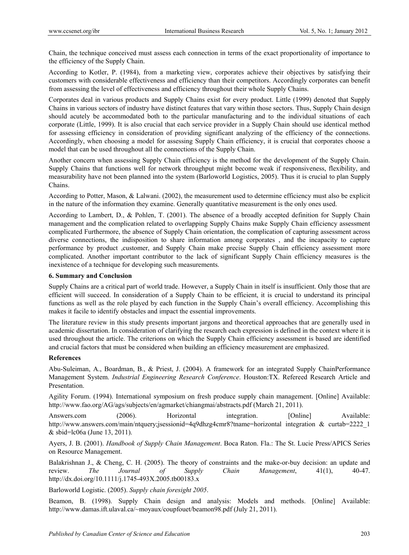Chain, the technique conceived must assess each connection in terms of the exact proportionality of importance to the efficiency of the Supply Chain.

According to Kotler, P. (1984), from a marketing view, corporates achieve their objectives by satisfying their customers with considerable effectiveness and efficiency than their competitors. Accordingly corporates can benefit from assessing the level of effectiveness and efficiency throughout their whole Supply Chains.

Corporates deal in various products and Supply Chains exist for every product. Little (1999) denoted that Supply Chains in various sectors of industry have distinct features that vary within those sectors. Thus, Supply Chain design should acutely be accommodated both to the particular manufacturing and to the individual situations of each corporate (Little, 1999). It is also crucial that each service provider in a Supply Chain should use identical method for assessing efficiency in consideration of providing significant analyzing of the efficiency of the connections. Accordingly, when choosing a model for assessing Supply Chain efficiency, it is crucial that corporates choose a model that can be used throughout all the connections of the Supply Chain.

Another concern when assessing Supply Chain efficiency is the method for the development of the Supply Chain. Supply Chains that functions well for network throughput might become weak if responsiveness, flexibility, and measurability have not been planned into the system (Barloworld Logistics, 2005). Thus it is crucial to plan Supply Chains.

According to Potter, Mason, & Lalwani. (2002), the measurement used to determine efficiency must also be explicit in the nature of the information they examine. Generally quantitative measurement is the only ones used.

According to Lambert, D., & Pohlen, T. (2001). The absence of a broadly accepted definition for Supply Chain management and the complication related to overlapping Supply Chains make Supply Chain efficiency assessment complicated Furthermore, the absence of Supply Chain orientation, the complication of capturing assessment across diverse connections, the indisposition to share information among corporates , and the incapacity to capture performance by product ,customer, and Supply Chain make precise Supply Chain efficiency assessment more complicated. Another important contributor to the lack of significant Supply Chain efficiency measures is the inexistence of a technique for developing such measurements.

#### **6. Summary and Conclusion**

Supply Chains are a critical part of world trade. However, a Supply Chain in itself is insufficient. Only those that are efficient will succeed. In consideration of a Supply Chain to be efficient, it is crucial to understand its principal functions as well as the role played by each function in the Supply Chain's overall efficiency. Accomplishing this makes it facile to identify obstacles and impact the essential improvements.

The literature review in this study presents important jargons and theoretical approaches that are generally used in academic dissertation. In consideration of clarifying the research each expression is defined in the context where it is used throughout the article. The criterions on which the Supply Chain efficiency assessment is based are identified and crucial factors that must be considered when building an efficiency measurement are emphasized.

# **References**

Abu-Suleiman, A., Boardman, B., & Priest, J. (2004). A framework for an integrated Supply ChainPerformance Management System. *Industrial Engineering Research Conference*. Houston:TX. Refereed Research Article and Presentation.

Agility Forum. (1994). International symposium on fresh produce supply chain management. [Online] Available: http://www.fao.org/AG/ags/subjects/en/agmarket/chiangmai/abstracts.pdf (March 21, 2011).

Answers.com (2006). Horizontal integration. [Online] Available: http://www.answers.com/main/ntquery;jsessionid=4q9dhzg4cmr8?tname=horizontal integration & curtab=2222\_1 & sbid=lc06a (June 13, 2011).

Ayers, J. B. (2001). *Handbook of Supply Chain Management*. Boca Raton. Fla.: The St. Lucie Press/APICS Series on Resource Management.

Balakrishnan J., & Cheng, C. H. (2005). The theory of constraints and the make-or-buy decision: an update and review. *The Journal of Supply Chain Management*, 41(1), 40-47. http://dx.doi.org/10.1111/j.1745-493X.2005.tb00183.x

Barloworld Logistic. (2005). *Supply chain foresight 2005*.

Beamon, B. (1998). Supply Chain design and analysis: Models and methods. [Online] Available: http://www.damas.ift.ulaval.ca/~moyaux/coupfouet/beamon98.pdf (July 21, 2011).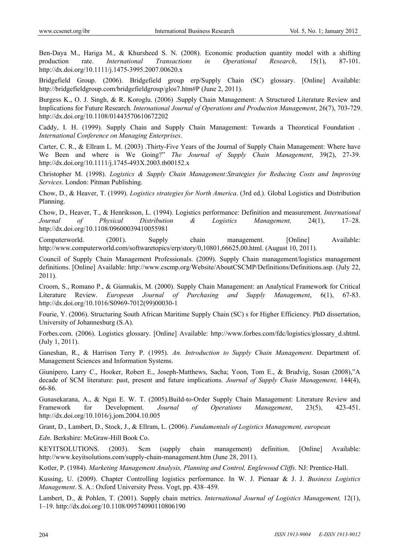Ben-Daya M., Hariga M., & Khursheed S. N. (2008). Economic production quantity model with a shifting production rate. *International Transactions in Operational Research*, 15(1), 87-101. http://dx.doi.org/10.1111/j.1475-3995.2007.00620.x

Bridgefield Group. (2006). Bridgefield group erp/Supply Chain (SC) glossary. [Online] Available: http://bridgefieldgroup.com/bridgefieldgroup/glos7.htm#P (June 2, 2011).

Burgess K., O. J. Singh, & R. Koroglu. (2006) .Supply Chain Management: A Structured Literature Review and Implications for Future Research. *International Journal of Operations and Production Management*, 26(7), 703-729. http://dx.doi.org/10.1108/01443570610672202

Caddy, I. H. (1999). Supply Chain and Supply Chain Management: Towards a Theoretical Foundation . *International Conference on Managing Enterprises*.

Carter, C. R., & Ellram L. M. (2003) .Thirty-Five Years of the Journal of Supply Chain Management: Where have We Been and where is We Going?" *The Journal of Supply Chain Management*, 39(2), 27-39. http://dx.doi.org/10.1111/j.1745-493X.2003.tb00152.x

Christopher M. (1998). *Logistics & Supply Chain Management:Strategies for Reducing Costs and Improving Services*. London: Pitman Publishing.

Chow, D., & Heaver, T. (1999). *Logistics strategies for North America*. (3rd ed.). Global Logistics and Distribution Planning.

Chow, D., Heaver, T., & Henriksson, L. (1994). Logistics performance: Definition and measurement. *International Journal of Physical Distribution & Logistics Management,* 24(1), 17–28. http://dx.doi.org/10.1108/09600039410055981

Computerworld. (2001). Supply chain management. [Online] Available: http://www.computerworld.com/softwaretopics/erp/story/0,10801,66625,00.html. (August 10, 2011).

Council of Supply Chain Management Professionals. (2009). Supply Chain management/logistics management definitions. [Online] Available: http://www.cscmp.org/Website/AboutCSCMP/Definitions/Definitions.asp. (July 22, 2011).

Croom, S., Romano P., & Giannakis, M. (2000). Supply Chain Management: an Analytical Framework for Critical Literature Review. *European Journal of Purchasing and Supply Management*, 6(1), 67-83. http://dx.doi.org/10.1016/S0969-7012(99)00030-1

Fourie, Y. (2006). Structuring South African Maritime Supply Chain (SC) s for Higher Efficiency. PhD dissertation, University of Johannesburg (S.A).

Forbes.com. (2006). Logistics glossary. [Online] Available: http://www.forbes.com/fdc/logistics/glossary\_d.shtml. (July 1, 2011).

Ganeshan, R., & Harrison Terry P. (1995). *An. Introduction to Supply Chain Management*. Department of. Management Sciences and Information Systems.

Giunipero, Larry C., Hooker, Robert E., Joseph-Matthews, Sacha; Yoon, Tom E., & Brudvig, Susan (2008),"A decade of SCM literature: past, present and future implications. *Journal of Supply Chain Management,* 144(4), 66-86.

Gunasekarana, A., & Ngai E. W. T. (2005).Build-to-Order Supply Chain Management: Literature Review and Framework for Development. *Journal of Operations Management*, 23(5), 423-451. http://dx.doi.org/10.1016/j.jom.2004.10.005

Grant, D., Lambert, D., Stock, J., & Ellram, L. (2006). *Fundamentals of Logistics Management, european* 

*Edn*. Berkshire: McGraw-Hill Book Co.

KEYITSOLUTIONS. (2003). Scm (supply chain management) definition. [Online] Available: http://www.keyitsolutions.com/supply-chain-management.htm (June 28, 2011).

Kotler, P. (1984). *Marketing Management Analysis, Planning and Control, Englewood Cliffs*. NJ: Prentice-Hall.

Kussing, U. (2009). Chapter Controlling logistics performance. In W. J. Pienaar & J. J. *Business Logistics Management*. S. A.: Oxford University Press. Vogt, pp. 438–459.

Lambert, D., & Pohlen, T. (2001). Supply chain metrics. *International Journal of Logistics Management,* 12(1), 1–19. http://dx.doi.org/10.1108/09574090110806190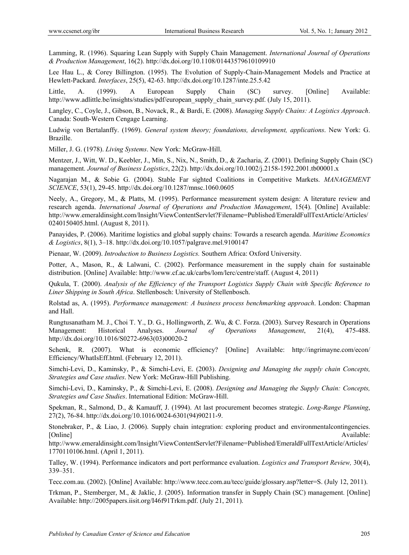Lamming, R. (1996). Squaring Lean Supply with Supply Chain Management. *International Journal of Operations & Production Management*, 16(2). http://dx.doi.org/10.1108/01443579610109910

Lee Hau L., & Corey Billington. (1995). The Evolution of Supply-Chain-Management Models and Practice at Hewlett-Packard. *Interfaces*, 25(5), 42-63. http://dx.doi.org/10.1287/inte.25.5.42

Little, A. (1999). A European Supply Chain (SC) survey. [Online] Available: http://www.adlittle.be/insights/studies/pdf/european\_supply\_chain\_survey.pdf. (July 15, 2011).

Langley, C., Coyle, J., Gibson, B., Novack, R., & Bardi, E. (2008). *Managing Supply Chains: A Logistics Approach*. Canada: South-Western Cengage Learning.

Ludwig von Bertalanffy. (1969). *General system theory; foundations, development, applications*. New York: G. Brazille.

Miller, J. G. (1978). *Living Systems*. New York: McGraw-Hill.

Mentzer, J., Witt, W. D., Keebler, J., Min, S., Nix, N., Smith, D., & Zacharia, Z. (2001). Defining Supply Chain (SC) management. *Journal of Business Logistics*, 22(2). http://dx.doi.org/10.1002/j.2158-1592.2001.tb00001.x

Nagarajan M., & Sobie G. (2004). Stable Far sighted Coalitions in Competitive Markets. *MANAGEMENT SCIENCE*, 53(1), 29-45. http://dx.doi.org/10.1287/mnsc.1060.0605

Neely, A., Gregory, M., & Platts, M. (1995). Performance measurement system design: A literature review and research agenda. *International Journal of Operations and Production Management*, 15(4). [Online] Available: http://www.emeraldinsight.com/Insight/ViewContentServlet?Filename=Published/EmeraldFullTextArticle/Articles/ 0240150405.html. (August 8, 2011).

Panayides, P. (2006). Maritime logistics and global supply chains: Towards a research agenda. *Maritime Economics & Logistics*, 8(1), 3–18. http://dx.doi.org/10.1057/palgrave.mel.9100147

Pienaar, W. (2009). *Introduction to Business Logistics.* Southern Africa: Oxford University.

Potter, A., Mason, R., & Lalwani, C. (2002). Performance measurement in the supply chain for sustainable distribution. [Online] Available: http://www.cf.ac.uk/carbs/lom/lerc/centre/staff. (August 4, 2011)

Qukula, T. (2000). *Analysis of the Efficiency of the Transport Logistics Supply Chain with Specific Reference to Liner Shipping in South Africa*. Stellenbosch: University of Stellenbosch.

Rolstad as, A. (1995). *Performance management: A business process benchmarking approach*. London: Chapman and Hall.

Rungtusanatham M. J., Choi T. Y., D. G., Hollingworth, Z. Wu, & C. Forza. (2003). Survey Research in Operations Management: Historical Analyses. *Journal of Operations Management*, 21(4), 475-488. http://dx.doi.org/10.1016/S0272-6963(03)00020-2

Schenk, R. (2007). What is economic efficiency? [Online] Available: http://ingrimayne.com/econ/ Efficiency/WhatIsEff.html. (February 12, 2011).

Simchi-Levi, D., Kaminsky, P., & Simchi-Levi, E. (2003). *Designing and Managing the supply chain Concepts, Strategies and Case studies*. New York: McGraw-Hill Publishing.

Simchi-Levi, D., Kaminsky, P., & Simchi-Levi, E. (2008). *Designing and Managing the Supply Chain: Concepts, Strategies and Case Studies*. International Edition: McGraw-Hill.

Spekman, R., Salmond, D., & Kamauff, J. (1994). At last procurement becomes strategic. *Long-Range Planning*, 27(2), 76-84. http://dx.doi.org/10.1016/0024-6301(94)90211-9.

Stonebraker, P., & Liao, J. (2006). Supply chain integration: exploring product and environmentalcontingencies. [Online] Available: Available:

http://www.emeraldinsight.com/Insight/ViewContentServlet?Filename=Published/EmeraldFullTextArticle/Articles/ 1770110106.html. (April 1, 2011).

Talley, W. (1994). Performance indicators and port performance evaluation. *Logistics and Transport Review,* 30(4), 339–351.

Tecc.com.au. (2002). [Online] Available: http://www.tecc.com.au/tecc/guide/glossary.asp?letter=S. (July 12, 2011).

Trkman, P., Stemberger, M., & Jaklic, J. (2005). Information transfer in Supply Chain (SC) management. [Online] Available: http://2005papers.iisit.org/I46f91Trkm.pdf. (July 21, 2011).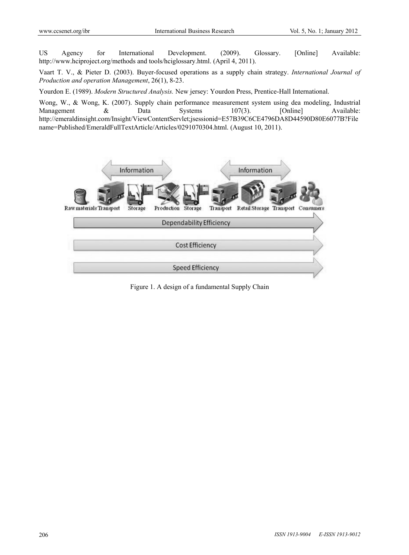US Agency for International Development. (2009). Glossary. [Online] Available: http://www.hciproject.org/methods and tools/hciglossary.html. (April 4, 2011).

Vaart T. V., & Pieter D. (2003). Buyer-focused operations as a supply chain strategy. *International Journal of Production and operation Management*, 26(1), 8-23.

Yourdon E. (1989). *Modern Structured Analysis.* New jersey: Yourdon Press, Prentice-Hall International.

Wong, W., & Wong, K. (2007). Supply chain performance measurement system using dea modeling, Industrial Management & Data Systems 107(3). [Online] Available: http://emeraldinsight.com/Insight/ViewContentServlet;jsessionid=E57B39C6CE4796DA8D44590D80E6077B?File name=Published/EmeraldFullTextArticle/Articles/0291070304.html. (August 10, 2011).



Figure 1. A design of a fundamental Supply Chain